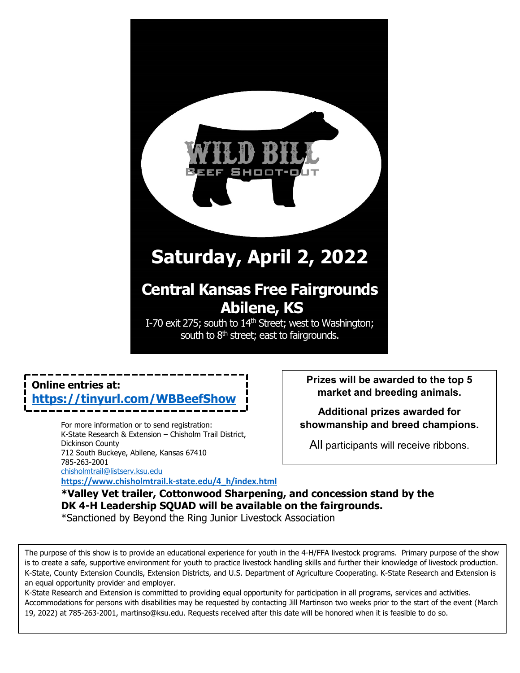# **Saturday, April 2, 2022**

## **Central Kansas Free Fairgrounds Abilene, KS**

I-70 exit 275; south to 14<sup>th</sup> Street; west to Washington; south to  $8<sup>th</sup>$  street; east to fairgrounds.

## **Online entries at: https://tinyurl.com/WBBee**f

For more information or to send registration: K-State Research & Extension – Chisholm Trail District, Dickinson County 712 South Buckeye, Abilene, Kansas 67410 785-263-2001

[chisholmtrail@listserv.ksu.edu](mailto:chisholmtrail@listserv.ksu.edu)

**[https://www.chisholmtrail.k-state.edu/4\\_h/index.html](https://www.chisholmtrail.k-state.edu/4_h/index.html)**

**Prizes will be awarded to the top 5 market and breeding animals.**

**Additional prizes awarded for showmanship and breed champions.**

All participants will receive ribbons.

## **\*Valley Vet trailer, Cottonwood Sharpening, and concession stand by the DK 4-H Leadership SQUAD will be available on the fairgrounds.**

\*Sanctioned by Beyond the Ring Junior Livestock Association

The purpose of this show is to provide an educational experience for youth in the 4-H/FFA livestock programs. Primary purpose of the show is to create a safe, supportive environment for youth to practice livestock handling skills and further their knowledge of livestock production. K-State, County Extension Councils, Extension Districts, and U.S. Department of Agriculture Cooperating. K-State Research and Extension is an equal opportunity provider and employer.

K-State Research and Extension is committed to providing equal opportunity for participation in all programs, services and activities. Accommodations for persons with disabilities may be requested by contacting Jill Martinson two weeks prior to the start of the event (March 19, 2022) at 785-263-2001, martinso@ksu.edu. Requests received after this date will be honored when it is feasible to do so.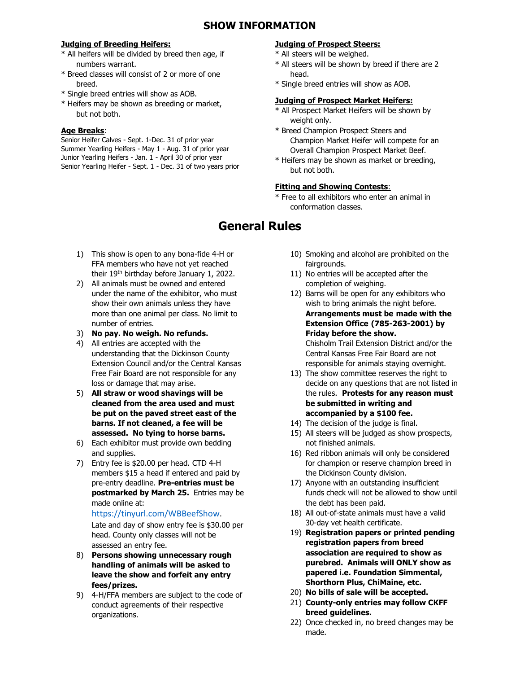#### **SHOW INFORMATION**

#### **Judging of Breeding Heifers:**

- \* All heifers will be divided by breed then age, if numbers warrant.
- \* Breed classes will consist of 2 or more of one breed.
- \* Single breed entries will show as AOB.
- \* Heifers may be shown as breeding or market, but not both.

#### **Age Breaks**:

Senior Heifer Calves - Sept. 1-Dec. 31 of prior year Summer Yearling Heifers - May 1 - Aug. 31 of prior year Junior Yearling Heifers - Jan. 1 - April 30 of prior year Senior Yearling Heifer - Sept. 1 - Dec. 31 of two years prior

#### **Judging of Prospect Steers:**

- \* All steers will be weighed.
- \* All steers will be shown by breed if there are 2 head.
- \* Single breed entries will show as AOB.

#### **Judging of Prospect Market Heifers:**

- \* All Prospect Market Heifers will be shown by weight only.
- \* Breed Champion Prospect Steers and Champion Market Heifer will compete for an Overall Champion Prospect Market Beef.
- \* Heifers may be shown as market or breeding, but not both.

#### **Fitting and Showing Contests**:

\* Free to all exhibitors who enter an animal in conformation classes.

## **General Rules**

- 1) This show is open to any bona-fide 4-H or FFA members who have not yet reached their 19th birthday before January 1, 2022.
- 2) All animals must be owned and entered under the name of the exhibitor, who must show their own animals unless they have more than one animal per class. No limit to number of entries.
- 3) **No pay. No weigh. No refunds.**
- 4) All entries are accepted with the understanding that the Dickinson County Extension Council and/or the Central Kansas Free Fair Board are not responsible for any loss or damage that may arise.
- 5) **All straw or wood shavings will be cleaned from the area used and must be put on the paved street east of the barns. If not cleaned, a fee will be assessed. No tying to horse barns.**
- 6) Each exhibitor must provide own bedding and supplies.
- 7) Entry fee is \$20.00 per head. CTD 4-H members \$15 a head if entered and paid by pre-entry deadline. **Pre-entries must be postmarked by March 25.** Entries may be made online at:

[https://tinyurl.com/WBBeefShow.](https://tinyurl.com/WBBeefShow) Late and day of show entry fee is \$30.00 per head. County only classes will not be assessed an entry fee.

- 8) **Persons showing unnecessary rough handling of animals will be asked to leave the show and forfeit any entry fees/prizes.**
- 9) 4-H/FFA members are subject to the code of conduct agreements of their respective organizations.
- 10) Smoking and alcohol are prohibited on the fairgrounds.
- 11) No entries will be accepted after the completion of weighing.
- 12) Barns will be open for any exhibitors who wish to bring animals the night before. **Arrangements must be made with the Extension Office (785-263-2001) by Friday before the show.**  Chisholm Trail Extension District and/or the Central Kansas Free Fair Board are not responsible for animals staying overnight.
- 13) The show committee reserves the right to decide on any questions that are not listed in the rules. **Protests for any reason must be submitted in writing and accompanied by a \$100 fee.**
- 14) The decision of the judge is final.
- 15) All steers will be judged as show prospects, not finished animals.
- 16) Red ribbon animals will only be considered for champion or reserve champion breed in the Dickinson County division.
- 17) Anyone with an outstanding insufficient funds check will not be allowed to show until the debt has been paid.
- 18) All out-of-state animals must have a valid 30-day vet health certificate.
- 19) **Registration papers or printed pending registration papers from breed association are required to show as purebred. Animals will ONLY show as papered i.e. Foundation Simmental, Shorthorn Plus, ChiMaine, etc.**
- 20) **No bills of sale will be accepted.**
- 21) **County-only entries may follow CKFF breed guidelines.**
- 22) Once checked in, no breed changes may be made.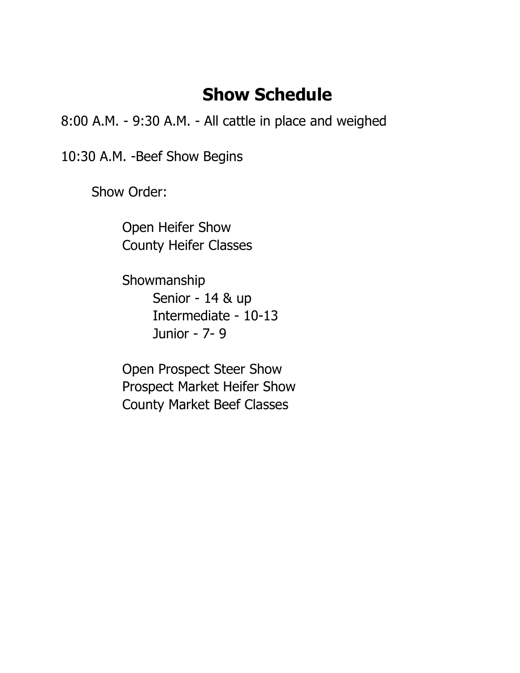## **Show Schedule**

8:00 A.M. - 9:30 A.M. - All cattle in place and weighed

10:30 A.M. -Beef Show Begins

Show Order:

Open Heifer Show County Heifer Classes

Showmanship Senior - 14 & up Intermediate - 10-13 Junior - 7- 9

Open Prospect Steer Show Prospect Market Heifer Show County Market Beef Classes